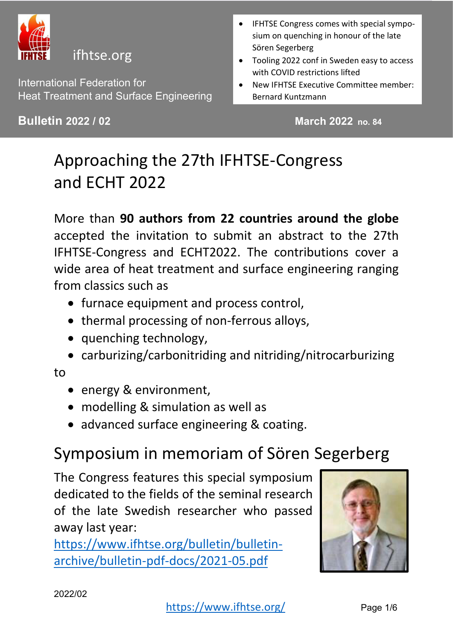

#### ifhtse.org

International Federation for Heat Treatment and Surface Engineering

**Bulletin 2022 / 02** March 2022 no. 84

- IFHTSE Congress comes with special symposium on quenching in honour of the late Sören Segerberg
- Tooling 2022 conf in Sweden easy to access with COVID restrictions lifted
- New IFHTSE Executive Committee member: Bernard Kuntzmann

# Approaching the 27th IFHTSE-Congress and ECHT 2022

More than **90 authors from 22 countries around the globe** accepted the invitation to submit an abstract to the 27th IFHTSE-Congress and ECHT2022. The contributions cover a wide area of heat treatment and surface engineering ranging from classics such as

- furnace equipment and process control,
- thermal processing of non-ferrous alloys,
- quenching technology,
- carburizing/carbonitriding and nitriding/nitrocarburizing

#### to

- energy & environment,
- modelling & simulation as well as
- advanced surface engineering & coating.

### Symposium in memoriam of Sören Segerberg

The Congress features this special symposium dedicated to the fields of the seminal research of the late Swedish researcher who passed away last year:

[https://www.ifhtse.org/bulletin/bulletin](https://www.ifhtse.org/bulletin/bulletin-archive/bulletin-pdf-docs/2021-05.pdf)[archive/bulletin-pdf-docs/2021-05.pdf](https://www.ifhtse.org/bulletin/bulletin-archive/bulletin-pdf-docs/2021-05.pdf)

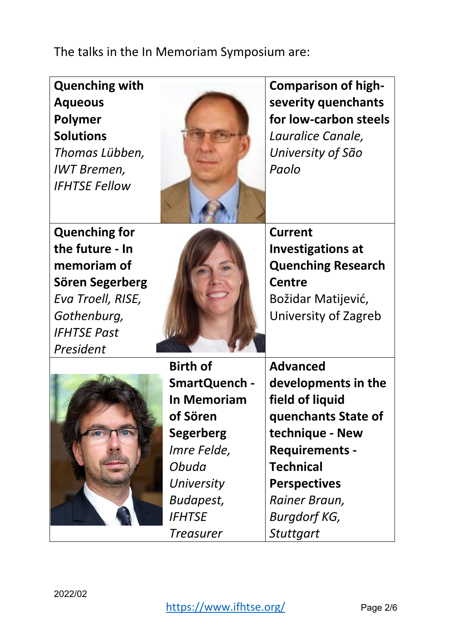The talks in the In Memoriam Symposium are:

| <b>Quenching with</b><br><b>Aqueous</b><br>Polymer<br><b>Solutions</b><br>Thomas Lübben,<br><b>IWT Bremen,</b><br><b>IFHTSE Fellow</b> |                    | <b>Comparison of high-</b><br>severity quenchants<br>for low-carbon steels<br>Lauralice Canale,<br>University of São<br>Paolo |
|----------------------------------------------------------------------------------------------------------------------------------------|--------------------|-------------------------------------------------------------------------------------------------------------------------------|
| <b>Quenching for</b>                                                                                                                   |                    | <b>Current</b>                                                                                                                |
| the future - In                                                                                                                        |                    | <b>Investigations at</b>                                                                                                      |
| memoriam of                                                                                                                            |                    | <b>Quenching Research</b>                                                                                                     |
| Sören Segerberg                                                                                                                        |                    | <b>Centre</b>                                                                                                                 |
| Eva Troell, RISE,                                                                                                                      |                    | Božidar Matijević,                                                                                                            |
| Gothenburg,                                                                                                                            |                    | University of Zagreb                                                                                                          |
| <b>IFHTSE Past</b>                                                                                                                     |                    |                                                                                                                               |
| President                                                                                                                              |                    |                                                                                                                               |
|                                                                                                                                        | <b>Birth of</b>    | <b>Advanced</b>                                                                                                               |
|                                                                                                                                        | SmartQuench -      | developments in the                                                                                                           |
|                                                                                                                                        | <b>In Memoriam</b> | field of liquid                                                                                                               |
|                                                                                                                                        | of Sören           | quenchants State of                                                                                                           |
|                                                                                                                                        | <b>Segerberg</b>   | technique - New                                                                                                               |
|                                                                                                                                        | Imre Felde,        | <b>Requirements -</b>                                                                                                         |
|                                                                                                                                        | Obuda              | <b>Technical</b>                                                                                                              |
|                                                                                                                                        | University         | <b>Perspectives</b>                                                                                                           |
|                                                                                                                                        | Budapest,          | Rainer Braun,                                                                                                                 |
|                                                                                                                                        | <b>IFHTSE</b>      | <b>Burgdorf KG,</b>                                                                                                           |
|                                                                                                                                        | <b>Treasurer</b>   | <b>Stuttgart</b>                                                                                                              |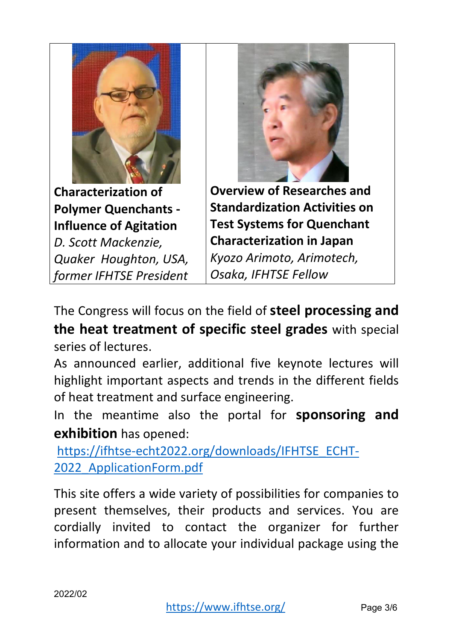

**Characterization of Polymer Quenchants - Influence of Agitation** 

*D. Scott Mackenzie, Quaker Houghton, USA, former IFHTSE President*



**Overview of Researches and Standardization Activities on Test Systems for Quenchant Characterization in Japan**  *Kyozo Arimoto, Arimotech, Osaka, IFHTSE Fellow*

The Congress will focus on the field of **steel processing and the heat treatment of specific steel grades** with special series of lectures.

As announced earlier, additional five keynote lectures will highlight important aspects and trends in the different fields of heat treatment and surface engineering.

In the meantime also the portal for **sponsoring and exhibition** has opened:

[https://ifhtse-echt2022.org/downloads/IFHTSE\\_ECHT-](https://ifhtse-echt2022.org/downloads/IFHTSE_ECHT-2022_ApplicationForm.pdf)2022 ApplicationForm.pdf

This site offers a wide variety of possibilities for companies to present themselves, their products and services. You are cordially invited to contact the organizer for further information and to allocate your individual package using the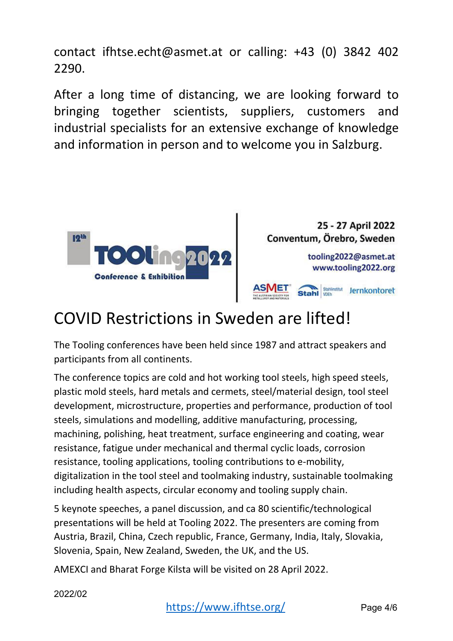contact ifhtse.echt@asmet.at or calling: +43 (0) 3842 402 2290.

After a long time of distancing, we are looking forward to bringing together scientists, suppliers, customers and industrial specialists for an extensive exchange of knowledge and information in person and to welcome you in Salzburg.





### COVID Restrictions in Sweden are lifted!

The Tooling conferences have been held since 1987 and attract speakers and participants from all continents.

The conference topics are cold and hot working tool steels, high speed steels, plastic mold steels, hard metals and cermets, steel/material design, tool steel development, microstructure, properties and performance, production of tool steels, simulations and modelling, additive manufacturing, processing, machining, polishing, heat treatment, surface engineering and coating, wear resistance, fatigue under mechanical and thermal cyclic loads, corrosion resistance, tooling applications, tooling contributions to e-mobility, digitalization in the tool steel and toolmaking industry, sustainable toolmaking including health aspects, circular economy and tooling supply chain.

5 keynote speeches, a panel discussion, and ca 80 scientific/technological presentations will be held at Tooling 2022. The presenters are coming from Austria, Brazil, China, Czech republic, France, Germany, India, Italy, Slovakia, Slovenia, Spain, New Zealand, Sweden, the UK, and the US.

AMEXCI and Bharat Forge Kilsta will be visited on 28 April 2022.

2022/02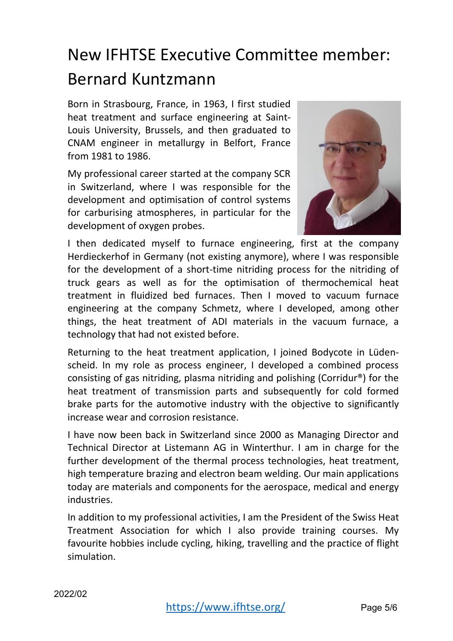# New IFHTSE Executive Committee member: Bernard Kuntzmann

Born in Strasbourg, France, in 1963, I first studied heat treatment and surface engineering at Saint-Louis University, Brussels, and then graduated to CNAM engineer in metallurgy in Belfort, France from 1981 to 1986.

My professional career started at the company SCR in Switzerland, where I was responsible for the development and optimisation of control systems for carburising atmospheres, in particular for the development of oxygen probes.



I then dedicated myself to furnace engineering, first at the company Herdieckerhof in Germany (not existing anymore), where I was responsible for the development of a short-time nitriding process for the nitriding of truck gears as well as for the optimisation of thermochemical heat treatment in fluidized bed furnaces. Then I moved to vacuum furnace engineering at the company Schmetz, where I developed, among other things, the heat treatment of ADI materials in the vacuum furnace, a technology that had not existed before.

Returning to the heat treatment application, I joined Bodycote in Lüdenscheid. In my role as process engineer, I developed a combined process consisting of gas nitriding, plasma nitriding and polishing (Corridur®) for the heat treatment of transmission parts and subsequently for cold formed brake parts for the automotive industry with the objective to significantly increase wear and corrosion resistance.

I have now been back in Switzerland since 2000 as Managing Director and Technical Director at Listemann AG in Winterthur. I am in charge for the further development of the thermal process technologies, heat treatment, high temperature brazing and electron beam welding. Our main applications today are materials and components for the aerospace, medical and energy industries.

In addition to my professional activities, I am the President of the Swiss Heat Treatment Association for which I also provide training courses. My favourite hobbies include cycling, hiking, travelling and the practice of flight simulation.